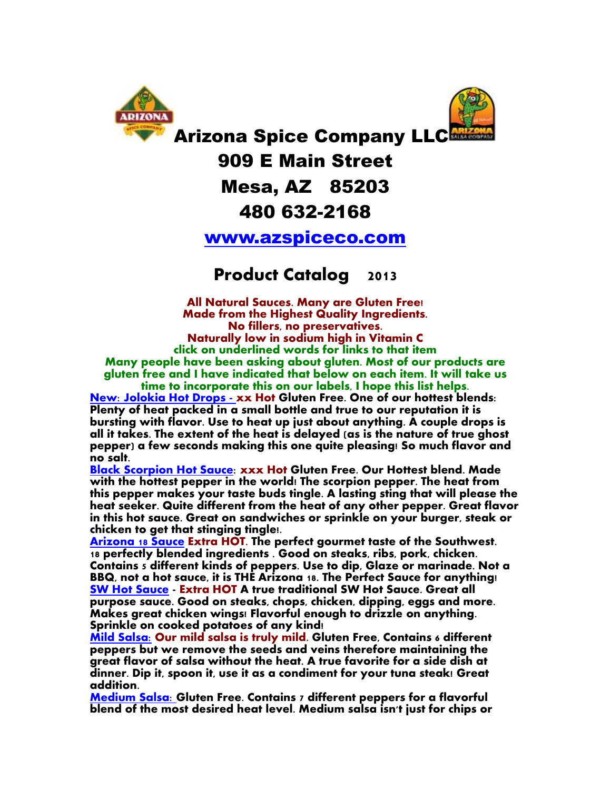



Arizona Spice Company LLC

### 909 E Main Street

#### Mesa, AZ 85203

#### 480 632-2168

#### [www.azspiceco.com](http://www.azspiceco.com/)

#### **Product Catalog 2013**

**All Natural Sauces. Many are Gluten Free! Made from the Highest Quality Ingredients. No fillers, no preservatives. Naturally low in sodium high in Vitamin C click on underlined words for links to that item Many people have been asking about gluten. Most of our products are gluten free and I have indicated that below on each item. It will take us**

**time to incorporate this on our labels, I hope this list helps. [New: Jolokia Hot Drops -](http://stores.homestead.com/azspiceco/-strse-314/jolokia-hot-drops%2C-hot/Detail.bok) xx Hot Gluten Free. One of our hottest blends: Plenty of heat packed in a small bottle and true to our reputation it is bursting with flavor. Use to heat up just about anything. A couple drops is all it takes. The extent of the heat is delayed (as is the nature of true ghost pepper) a few seconds making this one quite pleasing! So much flavor and no salt.**

**[Black Scorpion Hot Sauce:](http://stores.homestead.com/azspiceco/-strse-318/Balck-Scorpion-Hot-Sauce./Detail.bok) xxx Hot Gluten Free. Our Hottest blend. Made with the hottest pepper in the world! The scorpion pepper. The heat from this pepper makes your taste buds tingle. A lasting sting that will please the heat seeker. Quite different from the heat of any other pepper. Great flavor in this hot sauce. Great on sandwiches or sprinkle on your burger, steak or chicken to get that stinging tingle!.** 

**[Arizona 18 Sauce](http://stores.homestead.com/azspiceco/-strse-284/arizona-18/Detail.bok) Extra HOT. The perfect gourmet taste of the Southwest. 18 perfectly blended ingredients . Good on steaks, ribs, pork, chicken. Contains 5 different kinds of peppers. Use to dip, Glaze or marinade. Not a BBQ, not a hot sauce, it is THE Arizona 18. The Perfect Sauce for anything! [SW Hot Sauce](http://stores.homestead.com/azspiceco/-strse-285/hot-sauce%2C-sw-hot/Detail.bok) - Extra HOT A true traditional SW Hot Sauce. Great all purpose sauce. Good on steaks, chops, chicken, dipping, eggs and more. Makes great chicken wings! Flavorful enough to drizzle on anything. Sprinkle on cooked potatoes of any kind!**

**[Mild Salsa:](http://stores.homestead.com/azspiceco/-strse-2/Arizona-Salsa-Company-Mild/Detail.bok) Our mild salsa is truly mild. Gluten Free, Contains 6 different peppers but we remove the seeds and veins therefore maintaining the great flavor of salsa without the heat. A true favorite for a side dish at dinner. Dip it, spoon it, use it as a condiment for your tuna steak! Great addition.**

**[Medium Salsa:](http://stores.homestead.com/azspiceco/-strse-1/Arizona-Salsa-Company-Medium/Detail.bok) [G](http://stores.homestead.com/azspiceco/-strse-1/Arizona-Salsa-Company-Medium/Detail.bok)luten Free. Contains 7 different peppers for a flavorful blend of the most desired heat level. Medium salsa isn't just for chips or**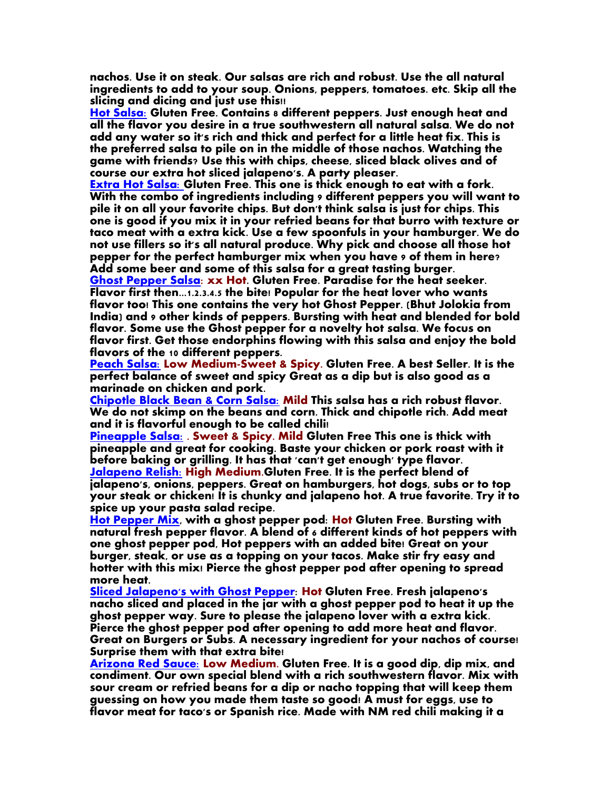**nachos. Use it on steak. Our salsas are rich and robust. Use the all natural ingredients to add to your soup. Onions, peppers, tomatoes. etc. Skip all the slicing and dicing and just use this!!**

**[Hot Salsa:](http://stores.homestead.com/azspiceco/-strse-13/Arizona-Salsa-Company-Hot/Detail.bok) Gluten Free. Contains 8 different peppers. Just enough heat and all the flavor you desire in a true southwestern all natural salsa. We do not add any water so it's rich and thick and perfect for a little heat fix. This is the preferred salsa to pile on in the middle of those nachos. Watching the game with friends? Use this with chips, cheese, sliced black olives and of course our extra hot sliced jalapeno's. A party pleaser.** 

**[Extra Hot Salsa:](http://stores.homestead.com/azspiceco/-strse-33/Arizona-Salsa-Company-Extra/Detail.bok) Gluten Free. This one is thick enough to eat with a fork. With the combo of ingredients including 9 different peppers you will want to pile it on all your favorite chips. But don't think salsa is just for chips. This one is good if you mix it in your refried beans for that burro with texture or taco meat with a extra kick. Use a few spoonfuls in your hamburger. We do not use fillers so it's all natural produce. Why pick and choose all those hot pepper for the perfect hamburger mix when you have 9 of them in here? Add some beer and some of this salsa for a great tasting burger.** 

**[Ghost Pepper Salsa:](http://stores.homestead.com/azspiceco/-strse-241/ghost-pepper-salsa%2C-arizona/Detail.bok) xx Hot. Gluten Free. Paradise for the heat seeker. Flavor first then...1.2.3.4.5 the bite! Popular for the heat lover who wants flavor too! This one contains the very hot Ghost Pepper. (Bhut Jolokia from India) and 9 other kinds of peppers. Bursting with heat and blended for bold flavor. Some use the Ghost pepper for a novelty hot salsa. We focus on flavor first. Get those endorphins flowing with this salsa and enjoy the bold flavors of the 10 different peppers.** 

**[Peach Salsa:](http://stores.homestead.com/azspiceco/-strse-199/Peach-Salsa-12-oz/Detail.bok) Low Medium-Sweet & Spicy. Gluten Free. A best Seller. It is the perfect balance of sweet and spicy Great as a dip but is also good as a marinade on chicken and pork.** 

**[Chipotle Black Bean & Corn Salsa:](http://stores.homestead.com/azspiceco/-strse-200/chipotle-salsa/Detail.bok) Mild This salsa has a rich robust flavor. We do not skimp on the beans and corn. Thick and chipotle rich. Add meat and it is flavorful enough to be called chili!** 

**[Pineapple Salsa:](http://stores.homestead.com/azspiceco/-strse-227/pineapple-pork-marinade-chicken/Detail.bok) . Sweet & Spicy. Mild Gluten Free This one is thick with pineapple and great for cooking. Baste your chicken or pork roast with it before baking or grilling. It has that 'can't get enough' type flavor. [Jalapeno Relish:](http://stores.homestead.com/azspiceco/-strse-258/jalapeno-relish-topping-sandwich/Detail.bok) High Medium.Gluten Free. It is the perfect blend of jalapeno's, onions, peppers. Great on hamburgers, hot dogs, subs or to top your steak or chicken! It is chunky and jalapeno hot. A true favorite. Try it to** 

**spice up your pasta salad recipe.**

**[Hot Pepper Mix,](http://stores.homestead.com/azspiceco/-strse-319/Hot-pepper-mix%2C-ghost/Detail.bok) with a ghost pepper pod: Hot Gluten Free. Bursting with natural fresh pepper flavor. A blend of 6 different kinds of hot peppers with one ghost pepper pod, Hot peppers with an added bite! Great on your burger, steak, or use as a topping on your tacos. Make stir fry easy and hotter with this mix! Pierce the ghost pepper pod after opening to spread more heat.** 

**Sliced Jalapeno's [with Ghost Pepper:](http://stores.homestead.com/azspiceco/-strse-320/Sliced-jalapenos-with-Ghost/Detail.bok) Hot Gluten Free. Fresh jalapeno's nacho sliced and placed in the jar with a ghost pepper pod to heat it up the ghost pepper way. Sure to please the jalapeno lover with a extra kick. Pierce the ghost pepper pod after opening to add more heat and flavor. Great on Burgers or Subs. A necessary ingredient for your nachos of course! Surprise them with that extra bite!** 

**[Arizona Red Sauce:](http://stores.homestead.com/azspiceco/-strse-44/arizona-red-sauce-taco/Detail.bok) Low Medium. Gluten Free. It is a good dip, dip mix, and condiment. Our own special blend with a rich southwestern flavor. Mix with sour cream or refried beans for a dip or nacho topping that will keep them guessing on how you made them taste so good! A must for eggs, use to flavor meat for taco's or Spanish rice. Made with NM red chili making it a**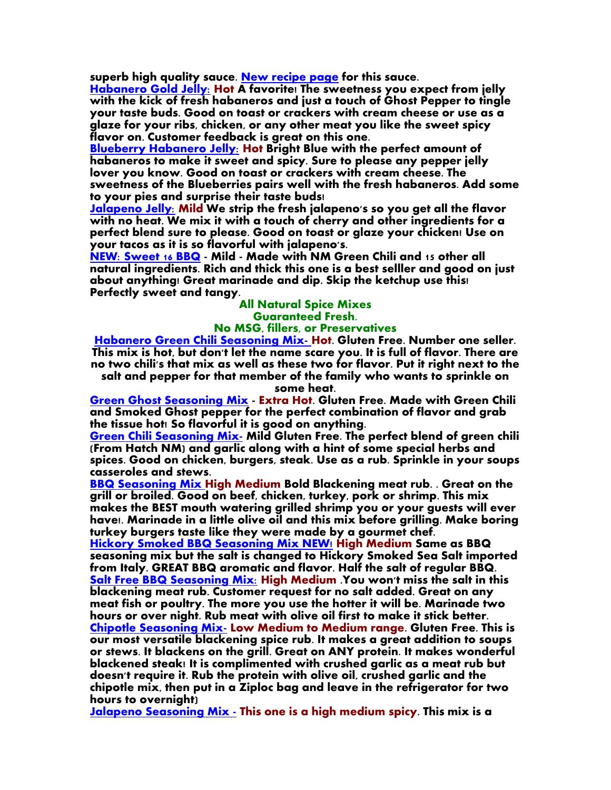**superb high quality sauce. [New recipe page](../Documents/Spaghetti-sauce-recipe.html) for this sauce.**

**[Habanero Gold Jelly:](http://stores.homestead.com/azspiceco/-strse-298/habanero-gold-jelly/Detail.bok) Hot A favorite! The sweetness you expect from jelly with the kick of fresh habaneros and just a touch of Ghost Pepper to tingle your taste buds. Good on toast or crackers with cream cheese or use as a glaze for your ribs, chicken, or any other meat you like the sweet spicy flavor on. Customer feedback is great on this one.**

**[Blueberry Habanero Jelly:](http://stores.homestead.com/azspiceco/-strse-300/Blueberry-Habanero-Jelly/Detail.bok) Hot Bright Blue with the perfect amount of habaneros to make it sweet and spicy. Sure to please any pepper jelly lover you know. Good on toast or crackers with cream cheese. The sweetness of the Blueberries pairs well with the fresh habaneros. Add some to your pies and surprise their taste buds!**

**[Jalapeno Jelly:](http://stores.homestead.com/azspiceco/-strse-299/Jalapeno-Jelly/Detail.bok) Mild We strip the fresh jalapeno's so you get all the flavor with no heat. We mix it with a touch of cherry and other ingredients for a perfect blend sure to please. Good on toast or glaze your chicken! Use on your tacos as it is so flavorful with jalapeno's.** 

**[NEW: Sweet 16 BBQ](http://stores.homestead.com/azspiceco/-strse-331/BBQ%2C-Barbecue%2C-barbeque%2Cbar-be/Detail.bok) - Mild - Made with NM Green Chili and 15 other all natural ingredients. Rich and thick this one is a best selller and good on just about anything! Great marinade and dip. Skip the ketchup use this! Perfectly sweet and tangy.**

#### **All Natural Spice Mixes Guaranteed Fresh.**

#### **No MSG, fillers, or Preservatives**

**[Habanero Green Chili Seasoning Mix-](http://stores.homestead.com/azspiceco/-strse-158/habanero-hatch-nm-green/Detail.bok) Hot. Gluten Free. Number one seller. This mix is hot, but don't let the name scare you. It is full of flavor. There are no two chili's that mix as well as these two for flavor. Put it right next to the salt and pepper for that member of the family who wants to sprinkle on** 

**some heat.** 

**[Green Ghost Seasoning Mix](http://stores.homestead.com/azspiceco/Categories.bok) - Extra Hot. Gluten Free. Made with Green Chili and Smoked Ghost pepper for the perfect combination of flavor and grab the tissue hot! So flavorful it is good on anything.**

**[Green Chili Seasoning Mix-](http://stores.homestead.com/azspiceco/-strse-Spice-Mixes/Categories.bok) Mild Gluten Free. The perfect blend of green chili (From Hatch NM) and garlic along with a hint of some special herbs and spices. Good on chicken, burgers, steak. Use as a rub. Sprinkle in your soups casseroles and stews.** 

**[BBQ Seasoning Mix H](http://stores.homestead.com/azspiceco/-strse-162/bbq-mix/Detail.bok)igh Medium Bold Blackening meat rub. . Great on the grill or broiled. Good on beef, chicken, turkey, pork or shrimp. This mix makes the BEST mouth watering grilled shrimp you or your guests will ever have!. Marinade in a little olive oil and this mix before grilling. Make boring turkey burgers taste like they were made by a gourmet chef.**

**[Hickory Smoked BBQ Seasoning Mix NEW!](http://stores.homestead.com/azspiceco/-strse-Spice-Mixes/Categories.bok) High Medium Same as BBQ seasoning mix but the salt is changed to Hickory Smoked Sea Salt imported from Italy. GREAT BBQ aromatic and flavor. Half the salt of regular BBQ. [Salt Free BBQ Seasoning Mix:](http://stores.homestead.com/azspiceco/-strse-253/BBQ-Seasoning-Mix-SALT/Detail.bok) High Medium .You won't miss the salt in this blackening meat rub. Customer request for no salt added. Great on any meat fish or poultry. The more you use the hotter it will be. Marinade two hours or over night. Rub meat with olive oil first to make it stick better. [Chipotle Seasoning Mix-](http://stores.homestead.com/azspiceco/-strse-107/Chipotle-seasoning-mix/Detail.bok) Low Medium to Medium range. Gluten Free. This is our most versatile blackening spice rub. It makes a great addition to soups or stews. It blackens on the grill. Great on ANY protein. It makes wonderful blackened steak! It is complimented with crushed garlic as a meat rub but doesn't require it. Rub the protein with olive oil, crushed garlic and the chipotle mix, then put in a Ziploc bag and leave in the refrigerator for two hours to overnight)** 

**[Jalapeno Seasoning Mix -](http://stores.homestead.com/azspiceco/-strse-110/Jalapeno-seasoning-mix-powder/Detail.bok) This one is a high medium spicy. This mix is a**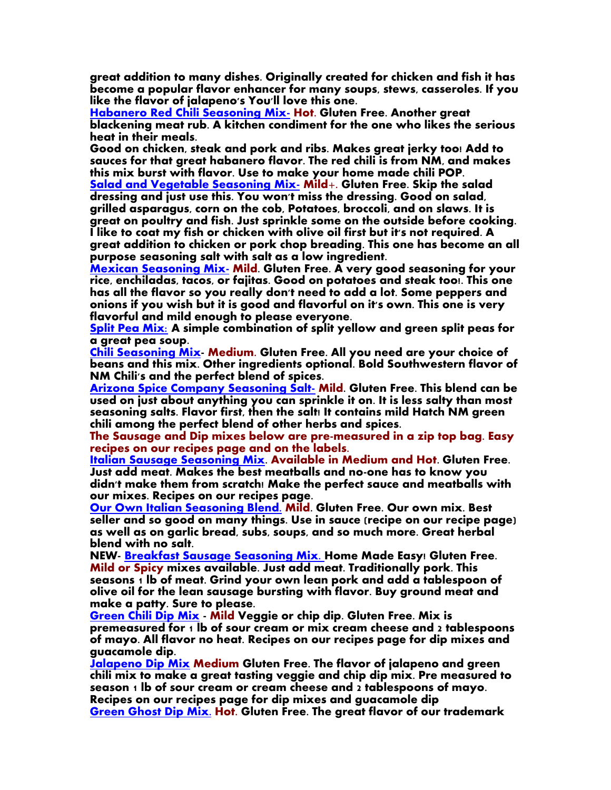**great addition to many dishes. Originally created for chicken and fish it has become a popular flavor enhancer for many soups, stews, casseroles. If you like the flavor of jalapeno's You'll love this one.**

**[Habanero Red Chili Seasoning Mix-](http://stores.homestead.com/azspiceco/-strse-176/Habanero-Seasoning-Mix-3/Detail.bok) Hot. Gluten Free. Another great blackening meat rub. A kitchen condiment for the one who likes the serious heat in their meals.**

**Good on chicken, steak and pork and ribs. Makes great jerky too! Add to sauces for that great habanero flavor. The red chili is from NM, and makes this mix burst with flavor. Use to make your home made chili POP.**

**[Salad and Vegetable Seasoning Mix-](http://stores.homestead.com/azspiceco/-strse-117/vegetable-spice-seasoning-mix/Detail.bok) Mild+. Gluten Free. Skip the salad dressing and just use this. You won't miss the dressing. Good on salad, grilled asparagus, corn on the cob, Potatoes, broccoli, and on slaws. It is great on poultry and fish. Just sprinkle some on the outside before cooking. I like to coat my fish or chicken with olive oil first but it's not required. A great addition to chicken or pork chop breading. This one has become an all purpose seasoning salt with salt as a low ingredient.** 

**[Mexican Seasoning Mix-](http://stores.homestead.com/azspiceco/-strse-118/Mexican-Seasoning-Mix-3/Detail.bok) Mild. Gluten Free. A very good seasoning for your rice, enchiladas, tacos, or fajitas. Good on potatoes and steak too!. This one has all the flavor so you really don't need to add a lot. Some peppers and onions if you wish but it is good and flavorful on it's own. This one is very flavorful and mild enough to please everyone.** 

**[Split Pea Mix:](http://stores.homestead.com/azspiceco/-strse-205/Split-Peas-Yellow-and/Detail.bok) A simple combination of split yellow and green split peas for a great pea soup.**

**[Chili Seasoning Mix-](http://stores.homestead.com/azspiceco/-strse-315/Chili-mix%2C-chili-seasoning/Detail.bok) Medium. Gluten Free. All you need are your choice of beans and this mix. Other ingredients optional. Bold Southwestern flavor of NM Chili's and the perfect blend of spices.**

**[Arizona Spice Company Seasoning Salt-](http://stores.homestead.com/azspiceco/-strse-191/salt%2C-seasoning/Detail.bok) Mild. Gluten Free. This blend can be used on just about anything you can sprinkle it on. It is less salty than most seasoning salts. Flavor first, then the salt! It contains mild Hatch NM green chili among the perfect blend of other herbs and spices.**

**The Sausage and Dip mixes below are pre-measured in a zip top bag. Easy recipes on our recipes page and on the labels.**

**[Italian Sausage Seasoning Mix.](http://stores.homestead.com/azspiceco/-strse-270/italian-sausage-seasoning-mix/Detail.bok) Available in Medium and Hot. Gluten Free. Just add meat. Makes the best meatballs and no-one has to know you didn't make them from scratch! Make the perfect sauce and meatballs with our mixes. Recipes on our recipes page.**

**[Our Own Italian Seasoning Blend.](http://stores.homestead.com/azspiceco/-strse-267/Italian-Seasoning-mix/Detail.bok) Mild. Gluten Free. Our own mix. Best seller and so good on many things. Use in sauce (recipe on our recipe page) as well as on garlic bread, subs, soups, and so much more. Great herbal blend with no salt.** 

**NEW- [Breakfast Sausage Seasoning Mix. H](http://stores.homestead.com/azspiceco/-strse-317/Breakfast-sausage-seasoning-Mix/Detail.bok)ome Made Easy! Gluten Free. Mild or Spicy mixes available. Just add meat. Traditionally pork. This seasons 1 lb of meat. Grind your own lean pork and add a tablespoon of olive oil for the lean sausage bursting with flavor. Buy ground meat and make a patty. Sure to please.** 

**[Green Chili Dip Mix](http://stores.homestead.com/azspiceco/-strse-303/Green-Chili-Dip-Mix/Detail.bok) - Mild Veggie or chip dip. Gluten Free. Mix is premeasured for 1 lb of sour cream or mix cream cheese and 2 tablespoons of mayo. All flavor no heat. Recipes on our recipes page for dip mixes and guacamole dip.**

**[Jalapeno Dip Mix](http://stores.homestead.com/azspiceco/-strse-304/Jalapeno-Dip-Mix/Detail.bok) Medium Gluten Free. The flavor of jalapeno and green chili mix to make a great tasting veggie and chip dip mix. Pre measured to season 1 lb of sour cream or cream cheese and 2 tablespoons of mayo. Recipes on our recipes page for dip mixes and guacamole dip [Green Ghost Dip Mix.](http://stores.homestead.com/azspiceco/-strse-305/Green-Ghost-%C2%AE-Dip/Detail.bok) Hot. Gluten Free. The great flavor of our trademark**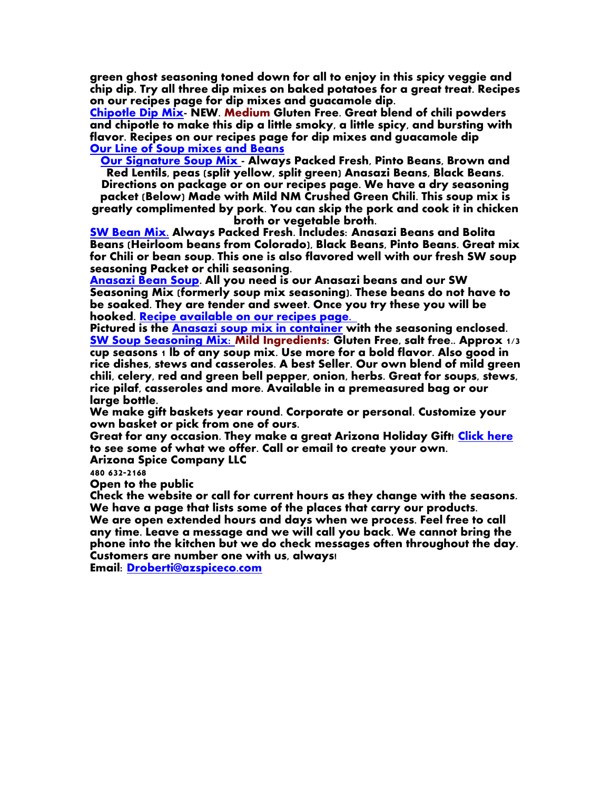**green ghost seasoning toned down for all to enjoy in this spicy veggie and chip dip. Try all three dip mixes on baked potatoes for a great treat. Recipes on our recipes page for dip mixes and guacamole dip.**

**[Chipotle Dip Mix-](http://stores.homestead.com/azspiceco/-strse-329/jalapeno-dip-mix%2C-spices%2C/Detail.bok) NEW. Medium Gluten Free. Great blend of chili powders and chipotle to make this dip a little smoky, a little spicy, and bursting with flavor. Recipes on our recipes page for dip mixes and guacamole dip [Our Line of Soup mixes and Beans](http://stores.homestead.com/azspiceco/-strse-Beans-and-dry-goods/Categories.bok)**

**[Our Signature Soup Mix](http://stores.homestead.com/azspiceco/-strse-190/Soup-Mix/Detail.bok) - Always Packed Fresh, Pinto Beans, Brown and Red Lentils, peas (split yellow, split green) Anasazi Beans, Black Beans. Directions on package or on our recipes page. We have a dry seasoning** 

**packet (Below) Made with Mild NM Crushed Green Chili. This soup mix is greatly complimented by pork. You can skip the pork and cook it in chicken broth or vegetable broth.** 

**[SW Bean Mix.](http://stores.homestead.com/azspiceco/-strse-Beans-and-dry-goods/Categories.bok) Always Packed Fresh. Includes: Anasazi Beans and Bolita Beans (Heirloom beans from Colorado), Black Beans, Pinto Beans. Great mix for Chili or bean soup. This one is also flavored well with our fresh SW soup seasoning Packet or chili seasoning.** 

**[Anasazi Bean Soup.](../Documents/Anasazi-Bean-Soup-Recipe.html) All you need is our Anasazi beans and our SW Seasoning Mix (formerly soup mix seasoning). These beans do not have to be soaked. They are tender and sweet. Once you try these you will be hooked. [Recipe available on our recipes page.](../Documents/Dip-Mix-Guacamoli-Recipes.html)** 

**Pictured is the [Anasazi soup mix in container](http://stores.homestead.com/azspiceco/Categories.bok) with the seasoning enclosed. [SW Soup Seasoning Mix: M](http://stores.homestead.com/azspiceco/-strse-14/soup-mix-with-seasoning/Detail.bok)ild Ingredients: Gluten Free, salt free.. Approx 1/3 cup seasons 1 lb of any soup mix. Use more for a bold flavor. Also good in rice dishes, stews and casseroles. A best Seller. Our own blend of mild green chili, celery, red and green bell pepper, onion, herbs. Great for soups, stews, rice pilaf, casseroles and more. Available in a premeasured bag or our large bottle.** 

**We make gift baskets year round. Corporate or personal. Customize your own basket or pick from one of ours.**

**Great for any occasion. They make a great Arizona Holiday Gift! [Click here](http://stores.homestead.com/azspiceco/Categories.bok) to see some of what we offer. Call or email to create your own. Arizona Spice Company LLC**

**480 632-2168**

**Open to the public**

**Check the website or call for current hours as they change with the seasons. We have a page that lists some of the places that carry our products. We are open extended hours and days when we process. Feel free to call any time. Leave a message and we will call you back. We cannot bring the phone into the kitchen but we do check messages often throughout the day. Customers are number one with us, always!**

**Email: [Droberti@azspiceco.com](mailto:Droberti@azspiceco.com)**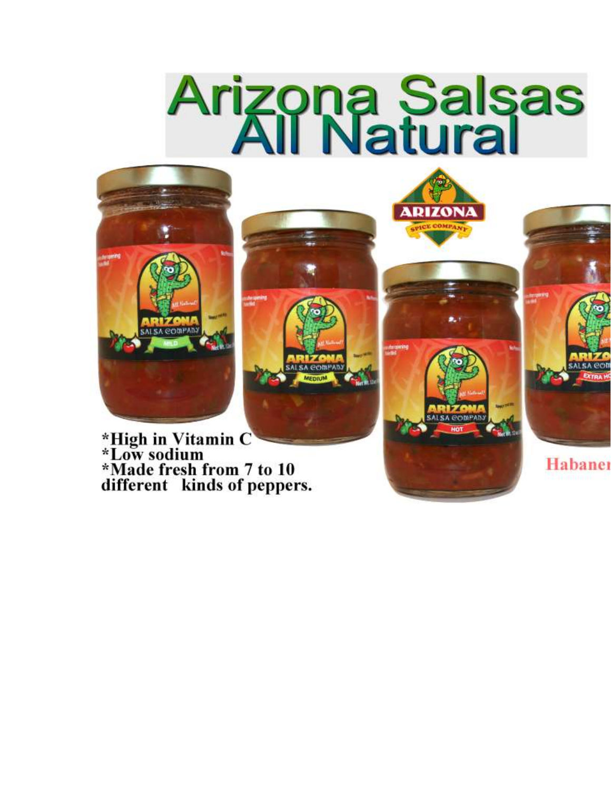# **Arizona Salsas<br>All Natural**



**ALSA GOMPAN** 

\*High in Vitamin C<br>\*Low sodium \*Made fresh from 7 to 10<br>different kinds of peppers.



**ALSA GOINEAL** 

Habaner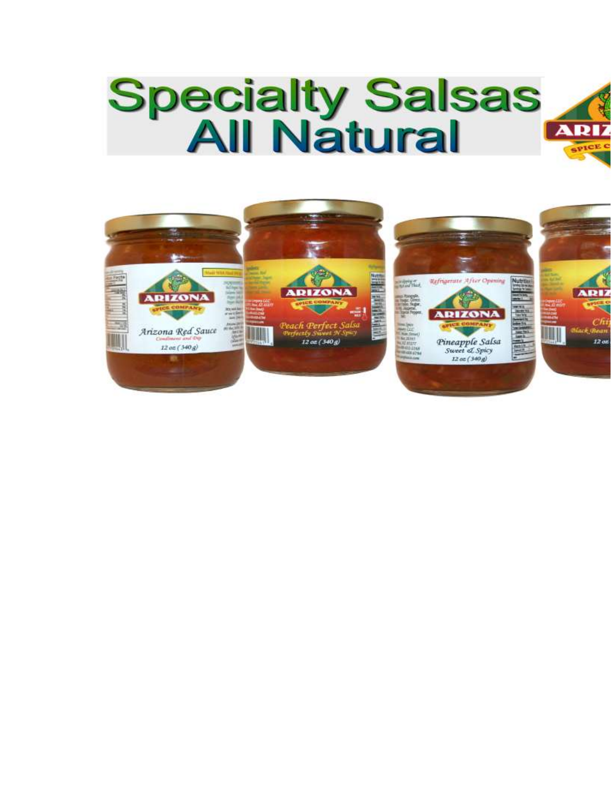## **Specialty Salsas<br>All Natural**

**ARI** 

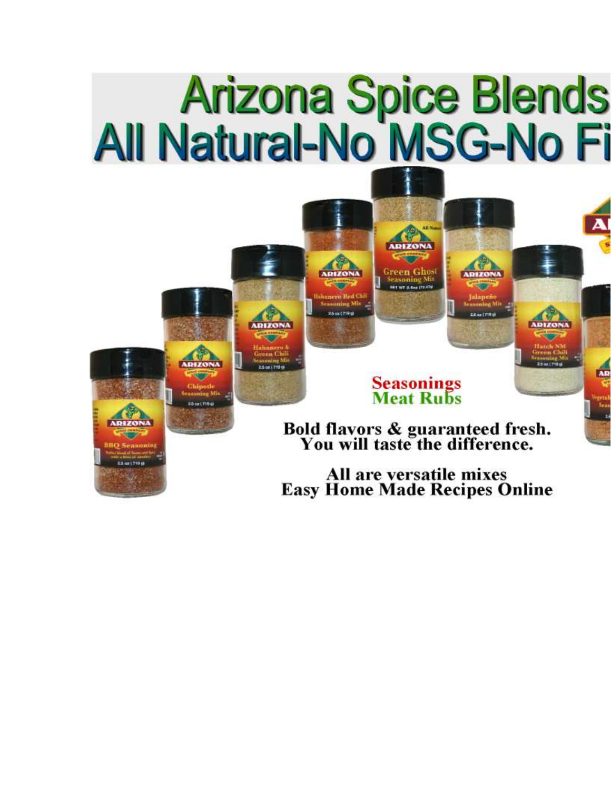# Arizona Spice Blends<br>All Natural-No MSG-No Fi

## **Seasonings<br>Meat Rubs**

Bold flavors & guaranteed fresh.<br>You will taste the difference.

All are versatile mixes **Easy Home Made Recipes Online**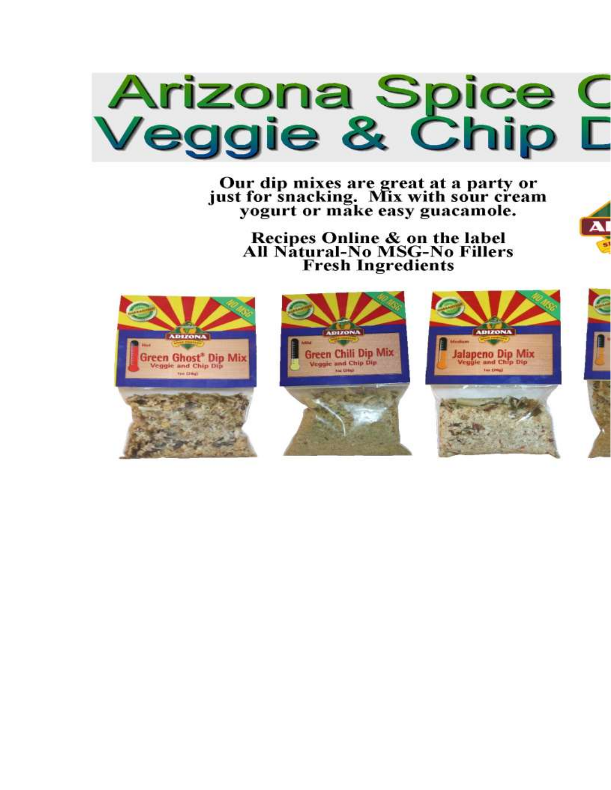

Our dip mixes are great at a party or<br>just for snacking. Mix with sour cream<br>yogurt or make easy guacamole.

Recipes Online & on the label<br>All Natural-No MSG-No Fillers **Fresh Ingredients** 

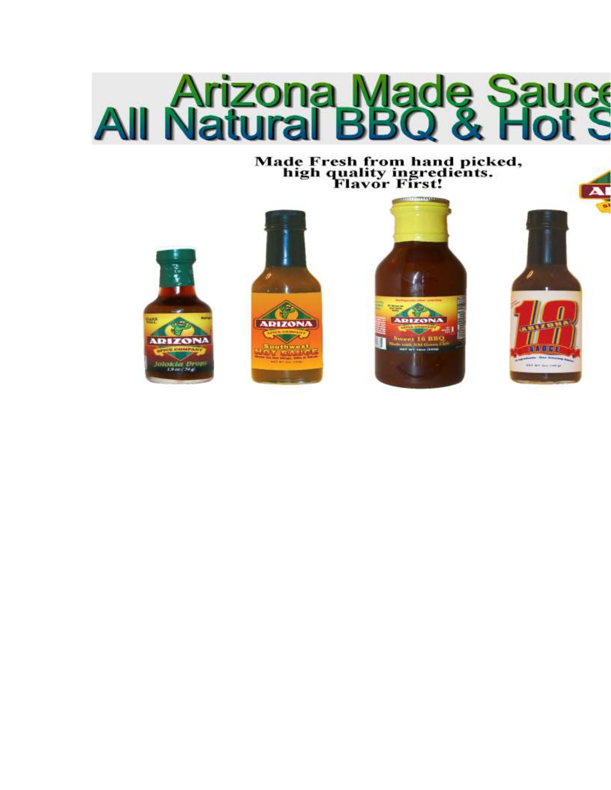

Made Fresh from hand picked,<br>high quality ingredients.<br>Flavor First!







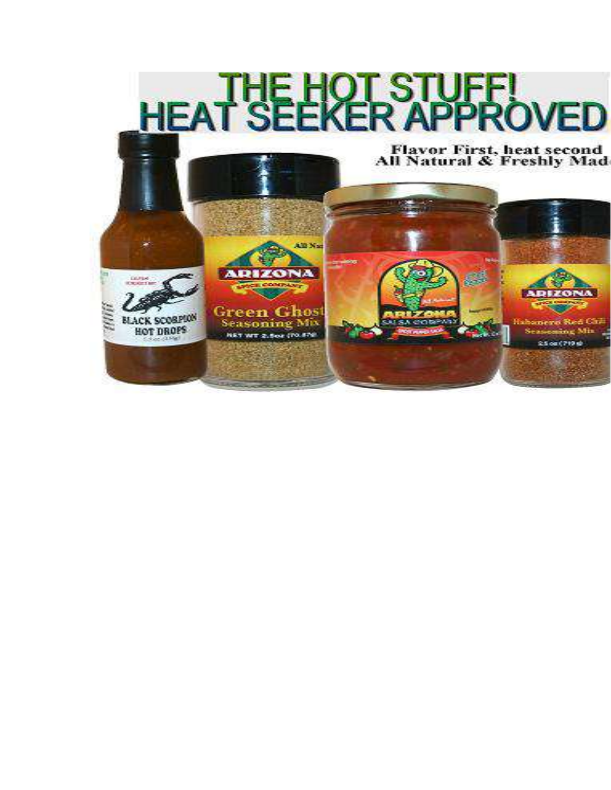